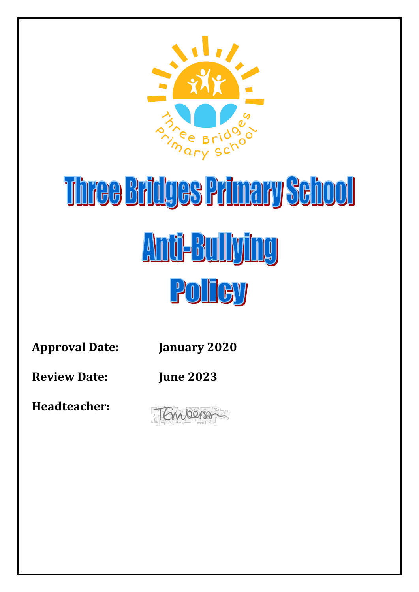

# Three Bridges Primary School Anti-Bullying POHEY

**Approval Date: January 2020**

**Review Date: June 2023**

**Headteacher:** 

TEmperson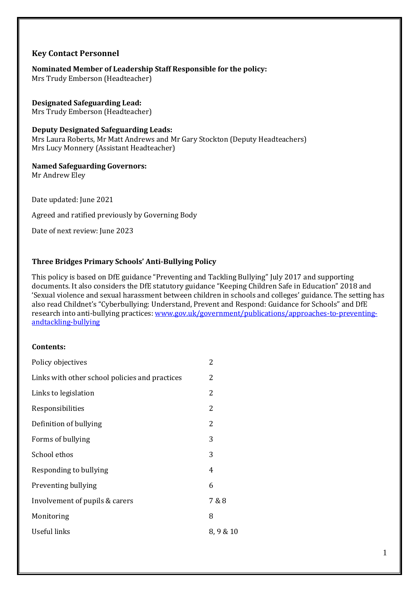#### **Key Contact Personnel**

**Nominated Member of Leadership Staff Responsible for the policy:**  Mrs Trudy Emberson (Headteacher)

**Designated Safeguarding Lead:**  Mrs Trudy Emberson (Headteacher)

**Deputy Designated Safeguarding Leads:** Mrs Laura Roberts, Mr Matt Andrews and Mr Gary Stockton (Deputy Headteachers) Mrs Lucy Monnery (Assistant Headteacher)

**Named Safeguarding Governors:**  Mr Andrew Eley

Date updated: June 2021

Agreed and ratified previously by Governing Body

Date of next review: June 2023

#### **Three Bridges Primary Schools' Anti-Bullying Policy**

This policy is based on DfE guidance "Preventing and Tackling Bullying" July 2017 and supporting documents. It also considers the DfE statutory guidance "Keeping Children Safe in Education" 2018 and 'Sexual violence and sexual harassment between children in schools and colleges' guidance. The setting has also read Childnet's "Cyberbullying: Understand, Prevent and Respond: Guidance for Schools" and DfE research into anti-bullying practices[: www.gov.uk/government/publications/approaches-to-preventing](http://www.gov.uk/government/publications/approaches-to-preventing-andtackling-bullying)[andtackling-bullying](http://www.gov.uk/government/publications/approaches-to-preventing-andtackling-bullying)

#### **Contents:**

| Policy objectives                              | 2        |
|------------------------------------------------|----------|
| Links with other school policies and practices | 2        |
| Links to legislation                           | 2        |
| Responsibilities                               | 2        |
| Definition of bullying                         | 2        |
| Forms of bullying                              | 3        |
| School ethos                                   | 3        |
| Responding to bullying                         | 4        |
| Preventing bullying                            | 6        |
| Involvement of pupils & carers                 | 7 & 8    |
| Monitoring                                     | 8        |
| Useful links                                   | 8,9 & 10 |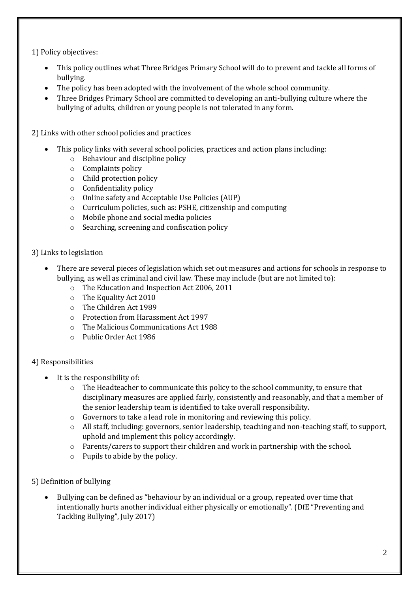1) Policy objectives:

- This policy outlines what Three Bridges Primary School will do to prevent and tackle all forms of bullying.
- The policy has been adopted with the involvement of the whole school community.
- Three Bridges Primary School are committed to developing an anti-bullying culture where the bullying of adults, children or young people is not tolerated in any form.

2) Links with other school policies and practices

- This policy links with several school policies, practices and action plans including:
	- o Behaviour and discipline policy
	- o Complaints policy
	- o Child protection policy
	- o Confidentiality policy
	- o Online safety and Acceptable Use Policies (AUP)
	- o Curriculum policies, such as: PSHE, citizenship and computing
	- o Mobile phone and social media policies
	- o Searching, screening and confiscation policy
- 3) Links to legislation
	- There are several pieces of legislation which set out measures and actions for schools in response to bullying, as well as criminal and civil law. These may include (but are not limited to):
		- o The Education and Inspection Act 2006, 2011
		- o The Equality Act 2010
		- o The Children Act 1989
		- o Protection from Harassment Act 1997
		- o The Malicious Communications Act 1988
		- o Public Order Act 1986

#### 4) Responsibilities

- It is the responsibility of:
	- o The Headteacher to communicate this policy to the school community, to ensure that disciplinary measures are applied fairly, consistently and reasonably, and that a member of the senior leadership team is identified to take overall responsibility.
	- o Governors to take a lead role in monitoring and reviewing this policy.
	- o All staff, including: governors, senior leadership, teaching and non-teaching staff, to support, uphold and implement this policy accordingly.
	- o Parents/carers to support their children and work in partnership with the school.
	- o Pupils to abide by the policy.
- 5) Definition of bullying
	- Bullying can be defined as "behaviour by an individual or a group, repeated over time that intentionally hurts another individual either physically or emotionally". (DfE "Preventing and Tackling Bullying", July 2017)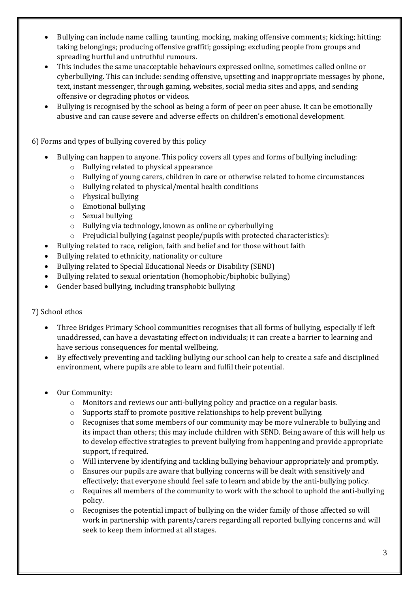- Bullying can include name calling, taunting, mocking, making offensive comments; kicking; hitting; taking belongings; producing offensive graffiti; gossiping; excluding people from groups and spreading hurtful and untruthful rumours.
- This includes the same unacceptable behaviours expressed online, sometimes called online or cyberbullying. This can include: sending offensive, upsetting and inappropriate messages by phone, text, instant messenger, through gaming, websites, social media sites and apps, and sending offensive or degrading photos or videos.
- Bullying is recognised by the school as being a form of peer on peer abuse. It can be emotionally abusive and can cause severe and adverse effects on children's emotional development.

6) Forms and types of bullying covered by this policy

- Bullying can happen to anyone. This policy covers all types and forms of bullying including:
	- o Bullying related to physical appearance
	- o Bullying of young carers, children in care or otherwise related to home circumstances
	- o Bullying related to physical/mental health conditions
	- o Physical bullying
	- o Emotional bullying
	- o Sexual bullying
	- o Bullying via technology, known as online or cyberbullying
	- o Prejudicial bullying (against people/pupils with protected characteristics):
	- Bullying related to race, religion, faith and belief and for those without faith
- Bullying related to ethnicity, nationality or culture
- Bullying related to Special Educational Needs or Disability (SEND)
- Bullying related to sexual orientation (homophobic/biphobic bullying)
- Gender based bullying, including transphobic bullying

#### 7) School ethos

- Three Bridges Primary School communities recognises that all forms of bullying, especially if left unaddressed, can have a devastating effect on individuals; it can create a barrier to learning and have serious consequences for mental wellbeing.
- By effectively preventing and tackling bullying our school can help to create a safe and disciplined environment, where pupils are able to learn and fulfil their potential.
- Our Community:
	- o Monitors and reviews our anti-bullying policy and practice on a regular basis.
	- o Supports staff to promote positive relationships to help prevent bullying.
	- $\circ$  Recognises that some members of our community may be more vulnerable to bullying and its impact than others; this may include children with SEND. Being aware of this will help us to develop effective strategies to prevent bullying from happening and provide appropriate support, if required.
	- o Will intervene by identifying and tackling bullying behaviour appropriately and promptly.
	- o Ensures our pupils are aware that bullying concerns will be dealt with sensitively and effectively; that everyone should feel safe to learn and abide by the anti-bullying policy.
	- $\circ$  Requires all members of the community to work with the school to uphold the anti-bullying policy.
	- o Recognises the potential impact of bullying on the wider family of those affected so will work in partnership with parents/carers regarding all reported bullying concerns and will seek to keep them informed at all stages.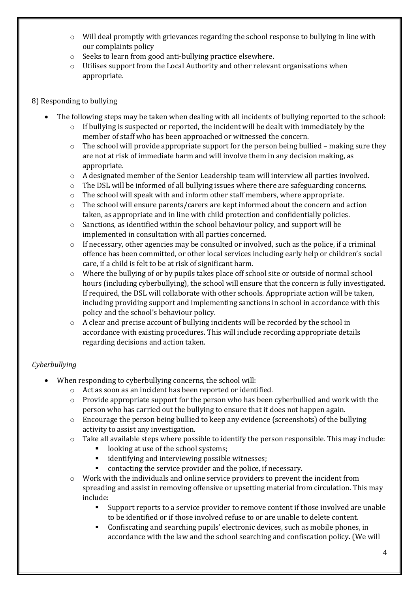- $\circ$  Will deal promptly with grievances regarding the school response to bullying in line with our complaints policy
- o Seeks to learn from good anti-bullying practice elsewhere.
- o Utilises support from the Local Authority and other relevant organisations when appropriate.

#### 8) Responding to bullying

- The following steps may be taken when dealing with all incidents of bullying reported to the school:
	- $\circ$  If bullying is suspected or reported, the incident will be dealt with immediately by the member of staff who has been approached or witnessed the concern.
	- o The school will provide appropriate support for the person being bullied making sure they are not at risk of immediate harm and will involve them in any decision making, as appropriate.
	- $\circ$  A designated member of the Senior Leadership team will interview all parties involved.
	- $\circ$  The DSL will be informed of all bullying issues where there are safeguarding concerns.
	- $\circ$  The school will speak with and inform other staff members, where appropriate.
	- $\circ$  The school will ensure parents/carers are kept informed about the concern and action taken, as appropriate and in line with child protection and confidentially policies.
	- $\circ$  Sanctions, as identified within the school behaviour policy, and support will be implemented in consultation with all parties concerned.
	- $\circ$  If necessary, other agencies may be consulted or involved, such as the police, if a criminal offence has been committed, or other local services including early help or children's social care, if a child is felt to be at risk of significant harm.
	- $\circ$  Where the bullying of or by pupils takes place off school site or outside of normal school hours (including cyberbullying), the school will ensure that the concern is fully investigated. If required, the DSL will collaborate with other schools. Appropriate action will be taken, including providing support and implementing sanctions in school in accordance with this policy and the school's behaviour policy.
	- o A clear and precise account of bullying incidents will be recorded by the school in accordance with existing procedures. This will include recording appropriate details regarding decisions and action taken.

## *Cyberbullying*

- When responding to cyberbullying concerns, the school will:
	- o Act as soon as an incident has been reported or identified.
	- $\circ$  Provide appropriate support for the person who has been cyberbullied and work with the person who has carried out the bullying to ensure that it does not happen again.
	- $\circ$  Encourage the person being bullied to keep any evidence (screenshots) of the bullying activity to assist any investigation.
	- o Take all available steps where possible to identify the person responsible. This may include:
		- looking at use of the school systems;
		- **identifying and interviewing possible witnesses;**
		- contacting the service provider and the police, if necessary.
	- o Work with the individuals and online service providers to prevent the incident from spreading and assist in removing offensive or upsetting material from circulation. This may include:
		- Support reports to a service provider to remove content if those involved are unable to be identified or if those involved refuse to or are unable to delete content.
		- Confiscating and searching pupils' electronic devices, such as mobile phones, in accordance with the law and the school searching and confiscation policy. (We will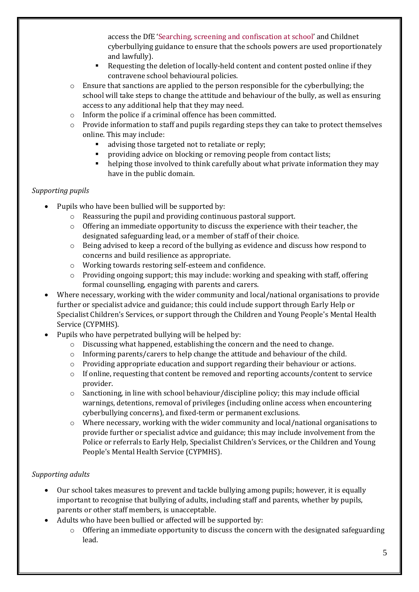access the DfE 'Searching, screening and confiscation at school' and Childnet cyberbullying guidance to ensure that the schools powers are used proportionately and lawfully).

- Requesting the deletion of locally-held content and content posted online if they contravene school behavioural policies.
- $\circ$  Ensure that sanctions are applied to the person responsible for the cyberbullying; the school will take steps to change the attitude and behaviour of the bully, as well as ensuring access to any additional help that they may need.
- o Inform the police if a criminal offence has been committed.
- o Provide information to staff and pupils regarding steps they can take to protect themselves online. This may include:
	- advising those targeted not to retaliate or reply;
	- providing advice on blocking or removing people from contact lists;
	- **•** helping those involved to think carefully about what private information they may have in the public domain.

## *Supporting pupils*

- Pupils who have been bullied will be supported by:
	- o Reassuring the pupil and providing continuous pastoral support.
	- o Offering an immediate opportunity to discuss the experience with their teacher, the designated safeguarding lead, or a member of staff of their choice.
	- o Being advised to keep a record of the bullying as evidence and discuss how respond to concerns and build resilience as appropriate.
	- o Working towards restoring self-esteem and confidence.
	- o Providing ongoing support; this may include: working and speaking with staff, offering formal counselling, engaging with parents and carers.
- Where necessary, working with the wider community and local/national organisations to provide further or specialist advice and guidance; this could include support through Early Help or Specialist Children's Services, or support through the Children and Young People's Mental Health Service (CYPMHS).
- Pupils who have perpetrated bullying will be helped by:
	- $\circ$  Discussing what happened, establishing the concern and the need to change.
	- o Informing parents/carers to help change the attitude and behaviour of the child.
	- o Providing appropriate education and support regarding their behaviour or actions.
	- o If online, requesting that content be removed and reporting accounts/content to service provider.
	- $\circ$  Sanctioning, in line with school behaviour/discipline policy; this may include official warnings, detentions, removal of privileges (including online access when encountering cyberbullying concerns), and fixed-term or permanent exclusions.
	- $\circ$  Where necessary, working with the wider community and local/national organisations to provide further or specialist advice and guidance; this may include involvement from the Police or referrals to Early Help, Specialist Children's Services, or the Children and Young People's Mental Health Service (CYPMHS).

## *Supporting adults*

- Our school takes measures to prevent and tackle bullying among pupils; however, it is equally important to recognise that bullying of adults, including staff and parents, whether by pupils, parents or other staff members, is unacceptable.
- Adults who have been bullied or affected will be supported by:
	- $\circ$  Offering an immediate opportunity to discuss the concern with the designated safeguarding lead.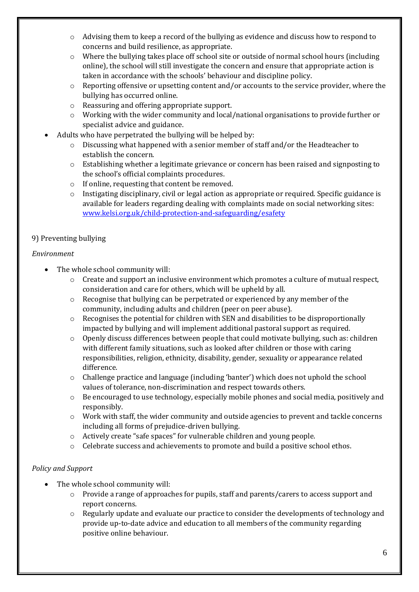- $\circ$  Advising them to keep a record of the bullying as evidence and discuss how to respond to concerns and build resilience, as appropriate.
- o Where the bullying takes place off school site or outside of normal school hours (including online), the school will still investigate the concern and ensure that appropriate action is taken in accordance with the schools' behaviour and discipline policy.
- $\circ$  Reporting offensive or upsetting content and/or accounts to the service provider, where the bullying has occurred online.
- o Reassuring and offering appropriate support.
- o Working with the wider community and local/national organisations to provide further or specialist advice and guidance.
- Adults who have perpetrated the bullying will be helped by:
	- $\circ$  Discussing what happened with a senior member of staff and/or the Headteacher to establish the concern.
	- o Establishing whether a legitimate grievance or concern has been raised and signposting to the school's official complaints procedures.
	- o If online, requesting that content be removed.
	- $\circ$  Instigating disciplinary, civil or legal action as appropriate or required. Specific guidance is available for leaders regarding dealing with complaints made on social networking sites: [www.kelsi.org.uk/child-protection-and-safeguarding/esafety](http://www.kelsi.org.uk/child-protection-and-safeguarding/esafety)

## 9) Preventing bullying

#### *Environment*

- The whole school community will:
	- o Create and support an inclusive environment which promotes a culture of mutual respect, consideration and care for others, which will be upheld by all.
	- o Recognise that bullying can be perpetrated or experienced by any member of the community, including adults and children (peer on peer abuse).
	- o Recognises the potential for children with SEN and disabilities to be disproportionally impacted by bullying and will implement additional pastoral support as required.
	- $\circ$  Openly discuss differences between people that could motivate bullying, such as: children with different family situations, such as looked after children or those with caring responsibilities, religion, ethnicity, disability, gender, sexuality or appearance related difference.
	- o Challenge practice and language (including 'banter') which does not uphold the school values of tolerance, non-discrimination and respect towards others.
	- o Be encouraged to use technology, especially mobile phones and social media, positively and responsibly.
	- o Work with staff, the wider community and outside agencies to prevent and tackle concerns including all forms of prejudice-driven bullying.
	- o Actively create "safe spaces" for vulnerable children and young people.
	- o Celebrate success and achievements to promote and build a positive school ethos.

## *Policy and Support*

- The whole school community will:
	- o Provide a range of approaches for pupils, staff and parents/carers to access support and report concerns.
	- o Regularly update and evaluate our practice to consider the developments of technology and provide up-to-date advice and education to all members of the community regarding positive online behaviour.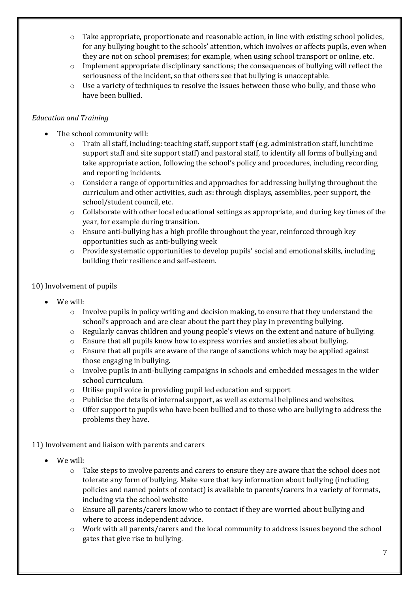- $\circ$  Take appropriate, proportionate and reasonable action, in line with existing school policies, for any bullying bought to the schools' attention, which involves or affects pupils, even when they are not on school premises; for example, when using school transport or online, etc.
- o Implement appropriate disciplinary sanctions; the consequences of bullying will reflect the seriousness of the incident, so that others see that bullying is unacceptable.
- $\circ$  Use a variety of techniques to resolve the issues between those who bully, and those who have been bullied.

## *Education and Training*

- The school community will:
	- $\circ$  Train all staff, including: teaching staff, support staff (e.g. administration staff, lunchtime support staff and site support staff) and pastoral staff, to identify all forms of bullying and take appropriate action, following the school's policy and procedures, including recording and reporting incidents.
	- $\circ$  Consider a range of opportunities and approaches for addressing bullying throughout the curriculum and other activities, such as: through displays, assemblies, peer support, the school/student council, etc.
	- $\circ$  Collaborate with other local educational settings as appropriate, and during key times of the year, for example during transition.
	- $\circ$  Ensure anti-bullying has a high profile throughout the year, reinforced through key opportunities such as anti-bullying week
	- o Provide systematic opportunities to develop pupils' social and emotional skills, including building their resilience and self-esteem.

## 10) Involvement of pupils

- We will:
	- $\circ$  Involve pupils in policy writing and decision making, to ensure that they understand the school's approach and are clear about the part they play in preventing bullying.
	- o Regularly canvas children and young people's views on the extent and nature of bullying.
	- o Ensure that all pupils know how to express worries and anxieties about bullying.
	- $\circ$  Ensure that all pupils are aware of the range of sanctions which may be applied against those engaging in bullying.
	- o Involve pupils in anti-bullying campaigns in schools and embedded messages in the wider school curriculum.
	- o Utilise pupil voice in providing pupil led education and support
	- $\circ$  Publicise the details of internal support, as well as external helplines and websites.
	- o Offer support to pupils who have been bullied and to those who are bullying to address the problems they have.

11) Involvement and liaison with parents and carers

- We will:
	- o Take steps to involve parents and carers to ensure they are aware that the school does not tolerate any form of bullying. Make sure that key information about bullying (including policies and named points of contact) is available to parents/carers in a variety of formats, including via the school website
	- o Ensure all parents/carers know who to contact if they are worried about bullying and where to access independent advice.
	- $\circ$  Work with all parents/carers and the local community to address issues beyond the school gates that give rise to bullying.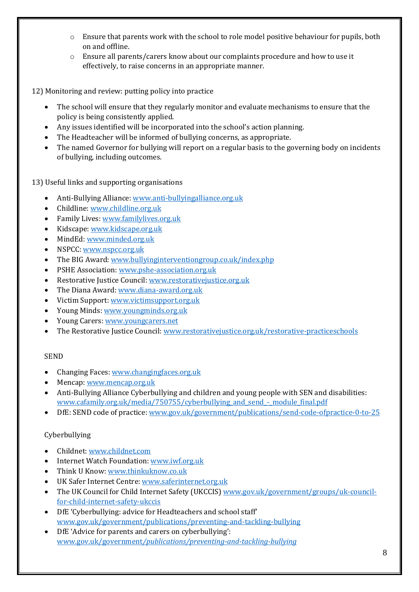- $\circ$  Ensure that parents work with the school to role model positive behaviour for pupils, both on and offline.
- o Ensure all parents/carers know about our complaints procedure and how to use it effectively, to raise concerns in an appropriate manner.

12) Monitoring and review: putting policy into practice

- The school will ensure that they regularly monitor and evaluate mechanisms to ensure that the policy is being consistently applied.
- Any issues identified will be incorporated into the school's action planning.
- The Headteacher will be informed of bullying concerns, as appropriate.
- The named Governor for bullying will report on a regular basis to the governing body on incidents of bullying, including outcomes.

13) Useful links and supporting organisations

- Anti-Bullying Alliance: [www.anti-bullyingalliance.org.uk](http://www.anti-bullyingalliance.org.uk/)
- Childline[: www.childline.org.uk](http://www.childline.org.uk/)
- Family Lives[: www.familylives.org.uk](http://www.familylives.org.uk/)
- Kidscape: [www.kidscape.org.uk](http://www.kidscape.org.uk/)
- MindEd[: www.minded.org.uk](http://www.minded.org.uk/)
- NSPCC: [www.nspcc.org.uk](http://www.nspcc.org.uk/)
- The BIG Award: [www.bullyinginterventiongroup.co.uk/index.php](http://www.bullyinginterventiongroup.co.uk/index.php)
- PSHE Association: [www.pshe-association.org.uk](http://www.pshe-association.org.uk/)
- Restorative Justice Council: [www.restorativejustice.org.uk](http://www.restorativejustice.org.uk/)
- The Diana Award: [www.diana-award.org.uk](http://www.diana-award.org.uk/)
- Victim Support[: www.victimsupport.org.uk](http://www.victimsupport.org.uk/)
- Young Minds: [www.youngminds.org.uk](http://www.youngminds.org.uk/)
- Young Carers[: www.youngcarers.net](http://www.youngcarers.net/)
- The Restorative Justice Council[: www.restorativejustice.org.uk/restorative-practiceschools](http://www.restorativejustice.org.uk/restorative-practiceschools)

#### SEND

- Changing Faces: [www.changingfaces.org.uk](http://www.changingfaces.org.uk/)
- Mencap[: www.mencap.org.uk](http://www.mencap.org.uk/)
- Anti-Bullying Alliance Cyberbullying and children and young people with SEN and disabilities: www.cafamily.org.uk/media/750755/cyberbullying and send - module final.pdf
- DfE: SEND code of practice: [www.gov.uk/government/publications/send-code-ofpractice-0-to-25](http://www.gov.uk/government/publications/send-code-ofpractice-0-to-25)

#### Cyberbullying

- Childnet[: www.childnet.com](http://www.childnet.com/)
- Internet Watch Foundation: [www.iwf.org.uk](http://www.iwf.org.uk/)
- Think U Know[: www.thinkuknow.co.uk](http://www.thinkuknow.co.uk/)
- UK Safer Internet Centre: [www.saferinternet.org.uk](http://www.saferinternet.org.uk/)
- The UK Council for Child Internet Safety (UKCCIS) [www.gov.uk/government/groups/uk-council](http://www.gov.uk/government/groups/uk-council-for-child-internet-safety-ukccis)[for-child-internet-safety-ukccis](http://www.gov.uk/government/groups/uk-council-for-child-internet-safety-ukccis)
- DfE 'Cyberbullying: advice for Headteachers and school staff' [www.gov.uk/government/publications/preventing-and-tackling-bullying](http://www.gov.uk/government/publications/preventing-and-tackling-bullying)
- DfE 'Advice for parents and carers on cyberbullying': www.gov.uk/government*[/publications/preventing-and-tackling-bullying](http://www.gov.uk/government/publications/preventing-and-tackling-bullying)*